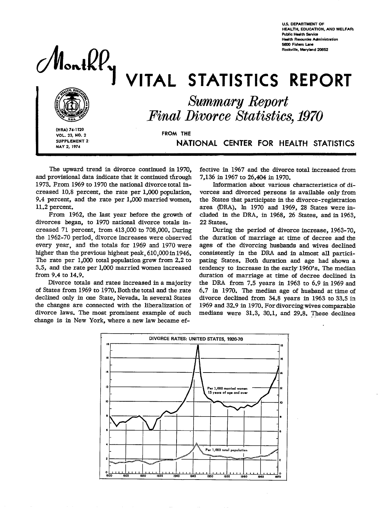**U.S. DEPARTMENT OF HEALTH. EDuCATION, AND WELFAR\ Public Health Service Haalth Resources Administration 5800 Fishers Lane** Rochwille, Maryland 20E52



# VITAL STATISTICS REPORT



*SkmmaryReport Final Divorce Statistics, 1970* 

**(HRA) 74-1120 VOL. 23,** NO.**2 FROM THE SUPPLEMENT 2** 

I

**MAY 2, 1974 NATIONAL CENTER FOR HEALTH STATISTICS**

**The upward** trend in divorce continued in 1970, and provisional data indicate that it continued through 1973. From 1969 to 1970 the national divorce total increased 10.8 percent, the rate per 1,000 population, 9.4 percent, and the rate per 1,000 married women, 11.2 percent.

From 1962, the Iast year before the growth of divorces began, to 1970 national divorce totals increased  $71$  percent, from  $413,000$  to  $708,000$ . During the 1962-70 period, divorce increases were observed every year, and the totals for 1969 and 1970 were higher than the previous highest peak, 610,000 in 1946. The rate per 1,000 total population grew from 2.2 to 3.5, and the rate per **1,000** married women increased from 9.4 to 14.9.

Divorce totals and rates increased in a majority of States from 1969 to 1970. Both the total and the rate decIined only in one State, Nevada. In several States the changes are connected with the liberalization of divorce laws. The most prominent example of such change is in New York, where a new law became effective in 1967 and the divorce total increased from 7,136 in 1967 to 26,404 in 1970.

Information about various characteristics of divorces and divorced persons is available only from the States that participate in the divorce-registration area (ERA). In 1970 and 1969, 28 States were included in the DRA, in 1968, 26 States, and in 1963, 22 States.

During the period of divorce increase, 1963-70, the duration of marriage at time of decree and the ages of the divorcing husbands and wives declined consistently in the DRA and in almost all participating States. Both duration and age had shown a tendency to increase in the early 1960's. The median duration of marriage at time of decree declined in the DRA from 7.5 years in 1963 to 6.9 in 1969 and 6.7 in 1970. The median age of husband at time of divorce declined from 34.8 years in 1963 to 33.5 in 1969 and 32.9 in 1970. For divorcing wives comparable medians were 31.3, 30.1, and 29.8. These declines

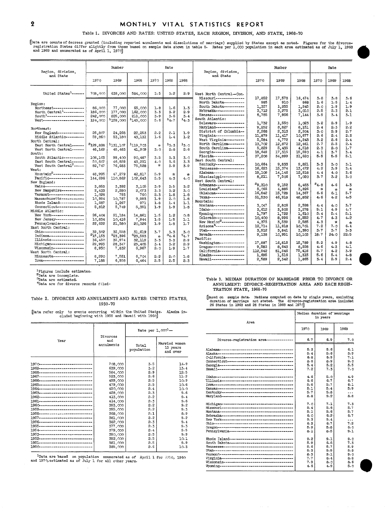# 2 MONTHLY VITAL STATISTICS REPORT

## Table 1. DIVORCES AND RATES: UNITED STATES, EACH REGION, **DIVISION,AND STATE, 1968-70**

Uata are countsof decrees granted (including reported annulments and dissolutions of marriage) supplied by States except as noted. Figures for the divorce-<br>registration States differ slightly from those based on sample dat

| Region, division,                                                                                                                                                                                                                                                                                                                                                                                                                                                                                                                                                                                                                                                                                                                                                                          | Number<br>Rate                                                                                                                                                                                                             |                                                                                                                                                                                                                             | Region, division,                                                                                                                                                                                                                | Number                                                                                                                                                                               |                                                                                                                                                            |                                                                                                                                                                             | Rate                                                                                                                                                                                                                                                                                                                                                                                                                                                                                                                                                                                                                                                                                                                                                                                                                                                                                     |                                                                                                                                                                                                                                                                     |                                                                                                                                                                                                                                                                    |                                                                                                                                                                                                                                                                  |                                                                                                                                                                                                          |                                                                                                                                                                                                              |                                                                                                                                                                                                          |
|--------------------------------------------------------------------------------------------------------------------------------------------------------------------------------------------------------------------------------------------------------------------------------------------------------------------------------------------------------------------------------------------------------------------------------------------------------------------------------------------------------------------------------------------------------------------------------------------------------------------------------------------------------------------------------------------------------------------------------------------------------------------------------------------|----------------------------------------------------------------------------------------------------------------------------------------------------------------------------------------------------------------------------|-----------------------------------------------------------------------------------------------------------------------------------------------------------------------------------------------------------------------------|----------------------------------------------------------------------------------------------------------------------------------------------------------------------------------------------------------------------------------|--------------------------------------------------------------------------------------------------------------------------------------------------------------------------------------|------------------------------------------------------------------------------------------------------------------------------------------------------------|-----------------------------------------------------------------------------------------------------------------------------------------------------------------------------|------------------------------------------------------------------------------------------------------------------------------------------------------------------------------------------------------------------------------------------------------------------------------------------------------------------------------------------------------------------------------------------------------------------------------------------------------------------------------------------------------------------------------------------------------------------------------------------------------------------------------------------------------------------------------------------------------------------------------------------------------------------------------------------------------------------------------------------------------------------------------------------|---------------------------------------------------------------------------------------------------------------------------------------------------------------------------------------------------------------------------------------------------------------------|--------------------------------------------------------------------------------------------------------------------------------------------------------------------------------------------------------------------------------------------------------------------|------------------------------------------------------------------------------------------------------------------------------------------------------------------------------------------------------------------------------------------------------------------|----------------------------------------------------------------------------------------------------------------------------------------------------------------------------------------------------------|--------------------------------------------------------------------------------------------------------------------------------------------------------------------------------------------------------------|----------------------------------------------------------------------------------------------------------------------------------------------------------------------------------------------------------|
| and State                                                                                                                                                                                                                                                                                                                                                                                                                                                                                                                                                                                                                                                                                                                                                                                  | 1970                                                                                                                                                                                                                       | 1969                                                                                                                                                                                                                        | 1968                                                                                                                                                                                                                             | 1970                                                                                                                                                                                 | 1969                                                                                                                                                       | 1968                                                                                                                                                                        | and State                                                                                                                                                                                                                                                                                                                                                                                                                                                                                                                                                                                                                                                                                                                                                                                                                                                                                | 1970                                                                                                                                                                                                                                                                | 1969                                                                                                                                                                                                                                                               | 1968                                                                                                                                                                                                                                                             | 1970                                                                                                                                                                                                     | 1969                                                                                                                                                                                                         | 1968                                                                                                                                                                                                     |
| United States <sup>1</sup> ------                                                                                                                                                                                                                                                                                                                                                                                                                                                                                                                                                                                                                                                                                                                                                          | 708,000                                                                                                                                                                                                                    | 639.000                                                                                                                                                                                                                     | 584,000                                                                                                                                                                                                                          | 3.5                                                                                                                                                                                  | 3.2                                                                                                                                                        | 2.9                                                                                                                                                                         | West North Central-Con.                                                                                                                                                                                                                                                                                                                                                                                                                                                                                                                                                                                                                                                                                                                                                                                                                                                                  |                                                                                                                                                                                                                                                                     |                                                                                                                                                                                                                                                                    |                                                                                                                                                                                                                                                                  |                                                                                                                                                                                                          |                                                                                                                                                                                                              |                                                                                                                                                                                                          |
| Region:<br>Northeast----------------<br>North Central <sup>1</sup> -----------<br>$South1$ ------------------<br>West---------------------<br>Northeast:<br>New England--------------<br>Middle Atlantic---------<br>North Central:<br>East North Central------<br>West North Central------<br>South:<br>South Atlantic----------<br>East South Central ------<br>West South Central <sup>2</sup> -----<br>West:<br>Mountain <sup>2</sup> ----------------<br>Pacific------------------<br>New England:<br>Maine--------------------<br>New Hampshire-----------<br>Vermont------------------<br>Massachusetts-----------<br>Rhode Island------------<br>Connecticut-------------<br>Middle Atlantic:<br>New York-----------------<br>New Jersey--------------<br>Pennsylvania------------ | 86.000<br>186,000<br>242,000<br>194.000<br>25,807<br>59.860<br>2129,828<br>48.169<br>106,103<br>50,607<br>82.747<br>48,995<br>144.696<br>3.853<br>2,433<br>1.028<br>10.994<br>1,687<br>5,812<br>26,404<br>10.834<br>22,622 | 77,000<br>177,000<br>225,000<br>$-159,000$<br>24,268<br>53,180<br>1131.107<br>45, 483<br>99,400<br>46,859<br>76,683<br>47,279<br>110.862<br>3,392<br>2,280<br>793<br>10.787<br>1,267<br>5,749<br>21.184<br>10.416<br>21,580 | 65,000<br>162.000<br>211,000<br><sup>1</sup> 145,000<br>22,253<br>43.131<br>1119.703<br>41.909<br>90.487<br>43,231<br>75,528<br>42,817<br>102.643<br>3,105<br>2.073<br>760<br>9,993<br>971<br>5,351<br>14,861<br>7,944<br>20,326 | 1.8<br>3.3<br>3.9<br>5.6<br>2.2<br>1.6<br>$\mathbf{r}$<br>3.0<br>3.5<br>4.0<br>$\mathcal{A}_\Gamma$<br>5.9<br>5.5<br>3.9<br>$3 - 3$<br>2.3<br>1.9<br>1.8<br>1.9<br>1.5<br>1.5<br>1.9 | 1.6<br>3.2<br>3.6<br>14.7<br>2.1<br>1.4<br>13.3<br>$2 - 8$<br>3.3<br>3.6<br>3.9<br>÷<br>4.3<br>3.5<br>3.2<br>1.8<br>2.0<br>1.4<br>1.9<br>1.2<br>1.5<br>1.8 | 1.3<br>2.9<br>3.4<br>$^{14.3}$<br>1.9<br>1.2<br>13.0<br>2.6<br>3.0<br>3.3<br>3.9<br>$\mathcal{P}$<br>4.0<br>3.2<br>3.0<br>1.8<br>1.8<br>1.1<br>1.8<br>$0 - 8$<br>1.1<br>1.7 | Missouri--------------<br>North Dakota----------<br>South Dakota----------<br>Nebraska--------------<br>Kansas-----------------<br>South Atlantic:<br>Delaware--------------<br>Maryland--------------<br>District of Columbia --<br>Virginia---------------<br>West Virginia---------<br>North Carolina -------<br>South Carolina--------<br>Georgia---------------<br>Florida----------------<br>East South Central:<br>Kentucky---------------<br>Tennessee--------------<br>Alabama----------------<br>Mississippi -----------<br>West South Central:<br>Arkansas---------------<br>Touisiana <sup>2</sup> -------------<br>Oklahoma--------------<br>Texas-----------------<br>Mountain:<br>Montana---------------<br>Idaho------------------<br>Wyoming-----------------<br>Colorado--------------<br>New Mexico <sup>2</sup> ------------<br>Arizona <sup>4</sup> --------------- | 17,852<br>985<br>1,357<br>3,712<br>8,785<br>1,732<br>9.252<br>2,268<br>11.879<br>5.584<br>13,702<br>5.829<br>18,649<br>37,208<br>10.664<br>16,623<br>15,109<br>8,211<br>29.310<br>5,065<br>16,842<br>51,530<br>3,047<br>3.612<br>1,797<br>10,400<br>4,375<br>12,714 | 17,578<br>910<br>1,255<br>3,275<br>7,956<br>1,550<br>8,827<br>2,313<br>11,417<br>4,772<br>12,872<br>5,435<br>17, 315<br>34,899<br>9,833<br>15, 374<br>14,146<br>7,506<br>9,152<br>4,885<br>15,728<br>46,918<br>2,806<br>3,506<br>1,722<br>8,996<br>3,539<br>11,918 | 16,474<br>868<br>1,245<br>3.010<br>7,144<br>1,023<br>8,151<br>2,204<br>10,677<br>4,243<br>12,461<br>4,518<br>15,590<br>31,620<br>9,821<br>13,472<br>12,918<br>7,020<br>8,483<br>3,826<br>14,367<br>48.852<br>2,598<br>3,278<br>1,610<br>8,552<br>2,585<br>10,701 | $3 - 8$<br>1.6<br>2.0<br>2.5<br>3.9<br>3.2<br>2.4<br>3.0<br>2.6<br>3.2<br>2.7<br>2.3<br>4.1<br>5.5<br>3.3<br>4.2<br>4.4<br>3.7<br>$^{2}4.8$<br>÷<br>6.6<br>4.6<br>4.4<br>5.1<br>5.4<br>4.7<br>4.3<br>7.2 | 3.8<br>1.5<br>1.9<br>2.3<br>3.4<br>2.9<br>2.3<br>2.9<br>2.4<br>2.6<br>2.5<br>2.0<br>3.7<br>5.5<br>3.0<br>3.9<br>4.0<br>3.2<br>4.6<br>$\star$<br>6.1<br>$4 - 2$<br>4.0<br>4.9<br>5.4<br>4.3<br>$\star$<br>7.0 | 3.6<br>1.4<br>1.9<br>2.1<br>3.1<br>1.9<br>2.2<br>2.7<br>2.3<br>2.4<br>2.4<br>1.7<br>3.4<br>5.1<br>3.1<br>3.4<br>3.6<br>3.0<br>4.3<br>$\star$<br>5.7<br>4.5<br>3.7<br>4.7<br>5.1<br>4.2<br>$\star$<br>6.4 |
| East North Central:<br>Ohio----------------------<br>Indiana -----------------<br>Tllinois------------------                                                                                                                                                                                                                                                                                                                                                                                                                                                                                                                                                                                                                                                                               | 39,302<br>215,153<br>36.450                                                                                                                                                                                                | 35,558<br><sup>3</sup> 23,396<br>35.974                                                                                                                                                                                     | 31,619<br>323,593<br>32.119                                                                                                                                                                                                      | 3.7<br>$\mathbf{r}_\mathrm{c}$<br>3.3                                                                                                                                                | 3.3<br>34.6<br>3.3                                                                                                                                         | 3.0<br>34.7<br>2.9                                                                                                                                                          | Utah-------------------<br>Nevada-----------------<br>Pacific:<br>Washington------------                                                                                                                                                                                                                                                                                                                                                                                                                                                                                                                                                                                                                                                                                                                                                                                                 | 3,912<br>9,138<br>17,887                                                                                                                                                                                                                                            | 3,841<br>10,951<br>16,815                                                                                                                                                                                                                                          | 3,390<br>10,103<br>15,789                                                                                                                                                                                                                                        | 3.7<br>18.7<br>5.2                                                                                                                                                                                       | 3.7<br>24.0<br>4.9                                                                                                                                                                                           | 3.3<br>22.5<br>4.8                                                                                                                                                                                       |
| Michigan----------------<br>Wisconsin---------------<br>West North Central:<br>Minnesota----------------<br>Towa---------------------                                                                                                                                                                                                                                                                                                                                                                                                                                                                                                                                                                                                                                                      | 29,993<br>8,930<br>8,290<br>7.188                                                                                                                                                                                          | 28,347<br>7,832<br>7,551<br>6.958                                                                                                                                                                                           | 25,405<br>6,967<br>6,704<br>6,464                                                                                                                                                                                                | 3.4<br>2.0<br>2.2<br>2.5                                                                                                                                                             | 3.2<br>1.9<br>2.0<br>2.5                                                                                                                                   | 2.9<br>1.7<br>1.8<br>2.3                                                                                                                                                    | Oregon----------------<br>California------------<br>Alaska-----------------<br>Hawaii-un-nunnnnnnnn-                                                                                                                                                                                                                                                                                                                                                                                                                                                                                                                                                                                                                                                                                                                                                                                     | 9.583<br>112.942<br>1,695<br>2,589                                                                                                                                                                                                                                  | 8,643<br>81,546<br>1,516<br>2,342                                                                                                                                                                                                                                  | 8,258<br>75,416<br>1,315<br>1,865                                                                                                                                                                                                                                | 4.6<br>5.7<br>5.6<br>3.4                                                                                                                                                                                 | 4.3<br>4.2<br>5.4<br>2.9                                                                                                                                                                                     | 4.1<br>3.9<br>4.8<br>2.4                                                                                                                                                                                 |

"Figures include estimates.<br>"Data are incomplete.

"Data are for divorce records filed.

[Data refer only to events occurring within the United States. Alaska in-cluded beginning with 1959 and Hawaii with 1960]

|                                       |                 | Rate per $1.0002$ - |               |                                                                         | 1970          | 1968<br>1969 |                 |  |  |
|---------------------------------------|-----------------|---------------------|---------------|-------------------------------------------------------------------------|---------------|--------------|-----------------|--|--|
| Year                                  | Divorces<br>and |                     | Married women | Divorce-registration area---------------                                | 6.7           | 6.9          | 7.0             |  |  |
|                                       | annulments      | Total               | 15 years      |                                                                         | 5.3           | 5.6          | 6.1             |  |  |
|                                       |                 | population          | and over      |                                                                         | 5.4           | 5.6          | 5.9             |  |  |
|                                       |                 |                     |               |                                                                         | 6.8           | 6.9          | 7.1             |  |  |
|                                       |                 |                     |               |                                                                         | 8.6           | 8.9          | 9.0             |  |  |
| 1970---------------------------       | 708,000         | 3.5                 | 14.9          |                                                                         | 5.4           | 5.2          | 5.5             |  |  |
| 1969----------------------------      | 639,000         | 3.2                 | 7.5.4         |                                                                         | 7.2           | 7.3          | 7.0             |  |  |
| 1968----------------------------      | 584,000         | 2.9                 | 12.5          |                                                                         |               |              |                 |  |  |
| 1967---------------------------       | 523,000         | 2.6                 | 11.2          | Tdahonnennennessannennennennennennennennen                              | 4.6           | 5.0          | 4.9             |  |  |
| 1966                                  | 499,000         | 2.5                 | 10.9          |                                                                         | 6.6           | 6.7          | 6.7             |  |  |
| 1965----------------------------      | 479,000         | 2.5                 | 10.6          | $To want to use a new expression is a new value to use a new variable.$ | 5.6           | 5.7          | 6.1             |  |  |
| 1964----------------------------      | 450,000         | 2.4                 | 10.0          |                                                                         | 5.1           | 5.4          | 5.9             |  |  |
| $1963$ ------------------------------ | 428,000         | 2.3                 | 9.6           |                                                                         | 5.7           | 5.8          | $\cdots$        |  |  |
| 1962----------------------------      | 413,000         | 2.2                 | 9.4           |                                                                         | 8.8           | 9.2          | 8.8             |  |  |
| $1961$ cuuunnanaannaannaannaannaan    | 414,000         | 2.3                 | 9.6           |                                                                         |               |              |                 |  |  |
| 1960---------------------------       | 393,000         | 2.2                 | 9.2           |                                                                         | 7.0           | 7.1          | 7.3             |  |  |
| 1959----------------------------      | 395,000         | 2.2                 | 9.3           |                                                                         | 5.4           | 5.6          | 5.7             |  |  |
| 1958---------------------------       | 368,000         | 2.1                 | 8.9           |                                                                         | 5.1           | 5.6          | 5.7<br>6.7      |  |  |
| 1957----------------------------      | 381,000         | 2.2                 | 9.2           |                                                                         | 6.0           | 6.2          |                 |  |  |
| 1956-----------------------------     | 382,000         | 2.3                 | 9.4           |                                                                         | 9.3<br>6.3    | 9.4<br>6.7   | $\cdots$<br>7.2 |  |  |
| 1955---------------------------       | 377,000         | 2.3                 | 9.3           |                                                                         | 5.9           | 5.8          | 6.0             |  |  |
| 1954----------------------------      | 379,000         | 2.4                 | 9.5           | Pennsylvania ----------------------------------                         | 8.1           | 8.5          | 9.1             |  |  |
| 1953----------------------------      | 390,000         | 2.5                 | 9.9           |                                                                         |               |              |                 |  |  |
| 1952---------------------------       | 392,000         | 2.5                 | $10-1$        | Rhode Tsland-----------------------------------                         | 9.2           | 9.1          | 9.0             |  |  |
| 1951----------------------------      | 381,000         | 2.5                 | 9.9           | South Dakota----------------------------------                          | 5.9           | 6.6          | 7.3             |  |  |
| 1950-----------------------------     | 385,000         | 2.6                 | 10.3          |                                                                         | 5.6           | 5.7          | 5.9             |  |  |
|                                       |                 |                     |               |                                                                         | 5.3           | 5.5          | 5.8             |  |  |
|                                       |                 |                     |               | The case was de-                                                        | $\sim$ $\sim$ | -            | $\sim$ $\sim$   |  |  |

#### Table 3. MEDIAN DURATION OF MARRIAGE PRIOR TO DIVORCE OR records filed .  $\blacksquare$  ANNULMENT: DIVORCE-REGISTRATION AREA AND EACH REGIS-TRATION STATE, 1968-70

| Data refer only to events occurring within the United States. Alaska in-<br>cluded beginning with 1959 and Hawaii with 1960 |                               |                     |               | Area                                            |            | Median duration of marriage<br>in years |            |
|-----------------------------------------------------------------------------------------------------------------------------|-------------------------------|---------------------|---------------|-------------------------------------------------|------------|-----------------------------------------|------------|
|                                                                                                                             |                               | Rate per $1,000^2-$ |               |                                                 | 1970       | 1969                                    | 1968       |
| Year                                                                                                                        | Divorces<br>and<br>annulments | Total               | Married women | Divorce-registration area---------------        | 6.7        | 6.9                                     | 7.0        |
|                                                                                                                             |                               | population          | 15 years      |                                                 | 5.3        | 5.6                                     | 6.1        |
|                                                                                                                             |                               |                     | and over      |                                                 | 5.4        | 5.6                                     | 5.9        |
|                                                                                                                             |                               |                     |               |                                                 | 6.8        | 6.9                                     | 7.1        |
|                                                                                                                             |                               |                     |               |                                                 | 8.6        | 8.9                                     | 9.0        |
| 1970---------------------------                                                                                             | 708,000                       | 3.5                 | 14.9          |                                                 | 5.4        | 5.2                                     | 5.5        |
| 1969----------------------------                                                                                            | 639,000                       | 3.2                 | 13.4          |                                                 | 7.2        | 7.3                                     | 7.0        |
| 1968---------------------------                                                                                             | 584,000                       | 2.9                 | 12.5          |                                                 |            |                                         |            |
| 1.967----------------------------                                                                                           | 523,000                       | 2.6                 | 11.2          |                                                 | 4.6        | 5.0                                     | 4.9        |
| 1966-----------------------------                                                                                           | 499,000                       | 2.5                 | 10.9          |                                                 | 6.6        | 6.7                                     | 6.7        |
| 1.965-----------------------------                                                                                          | 479,000                       | 2.5                 | 10.6          |                                                 | 5.6        | 5.7                                     | 6.1        |
| 1964---------------------------                                                                                             | 450,000                       | 2.4                 | 10.0          |                                                 | 5.1        | 5.4                                     | 5.9        |
| 1.963----------------------------                                                                                           | 428,000                       | 2.3                 | 9.6           |                                                 | 5.7        | 5.8                                     |            |
| 1962----------------------------                                                                                            | 413,000                       | 2.2                 | 9.4           |                                                 | 8.8        | 9.2                                     | 8.8        |
| 1961-----------------------------                                                                                           | 414.000                       | 2.3                 | 9.6           |                                                 |            |                                         |            |
| 1960---------------------------                                                                                             | 393,000                       | 2.2                 | 9.2           |                                                 | 7.0        | 7.1                                     | 7.3        |
| 1959----------------------------                                                                                            | 395,000                       | 2.2                 | 9.3           |                                                 | 5.4        | 5.6                                     | 5.7        |
| 1958----------------------------                                                                                            | 368,000                       | 2.1                 | 8.9           |                                                 | 5.1        | 5.6                                     | 5.7        |
| 1957----------------------------                                                                                            | 381,000                       | 2.2                 | 9.2           |                                                 | 6.0        | 6.2                                     | 6.7        |
| 1956----------------------- <i>-----</i> -                                                                                  | 382,000                       | 2.3                 | 9.4           |                                                 | 9.3        | 9.4                                     | $\cdots$   |
| 1955---------------------------                                                                                             | 377,000                       | 2.3                 | 9.3           |                                                 | 6.3        | 6.7                                     | 7.2<br>6.0 |
| 7954----------------------------                                                                                            | 379,000                       | 2.4                 | 9.5           | Pennsylvania ---------------------------------  | 5.9<br>8.1 | 5.8<br>8.5                              | 9.1        |
| 1953----------------------------                                                                                            | 390,000                       | 2.5                 | 9.9           |                                                 |            |                                         |            |
| 1952----------------------------                                                                                            | 392,000                       | 2.5                 | 10.1          | Rhode Tsland----------------------------------- | 9.2        | 9.1                                     | 9.0        |
| 1951---------------------------                                                                                             | 381,000                       | 2.5                 | 9.9           |                                                 | 5.9        | 6.6                                     | 7.3        |
| 1950----------------------------                                                                                            | 385,000                       | 2.6                 | 10.3          |                                                 | 5.6        | 5.7                                     | 5.9        |
|                                                                                                                             |                               |                     |               |                                                 | 5.3        | 5.5                                     | 5.8        |
|                                                                                                                             |                               |                     |               |                                                 | 8.3        | 9.1                                     | 9.0        |
| <sup>1</sup> Data are based on population enumerated as of April 1 for 1950, 1960                                           |                               |                     |               |                                                 | 7.7        | 8.4                                     | 8.8        |
| and 1970, estimated as of July 1 for all other years.                                                                       |                               |                     |               |                                                 | 7.9        | 8.0                                     | 8.6        |
|                                                                                                                             |                               |                     |               |                                                 | 4.6        | 4.9                                     | 5.0        |
|                                                                                                                             |                               |                     |               |                                                 |            |                                         |            |

Table 2. DIVORCES AND ANNULMENTS AND RATES: UNITED STATES, [Based on sample data. Medians computed on data by single years, excluding<br>1950-70 1950-70 1980-70 26 States in 1969 and 28 States in 1969 and 28 States in 1969 an

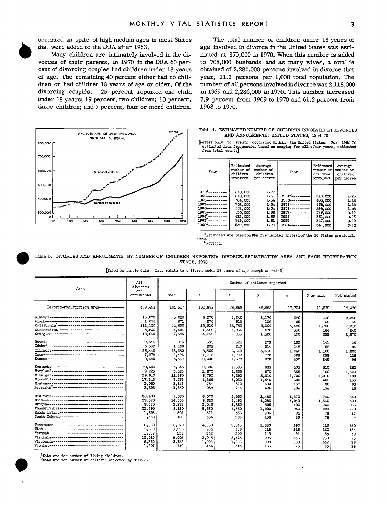three children; and 7 percent, four or more children.

occurred in spite of high median ages in most States The total number of children under 18 years of that were added to the DRA after 1963. age involved in divorce in the United States was esti Many children are intimately involved in the di- mated at 870,000 in 1970. When this number is added vorces of their parents. In 1970 in the DRA 60 per- to 708,000 husbands and as many wives, a total is vorces of their parents. In 1970 in the DRA 60 per- to 708,000 husbands and as many wives, a total is cent of divorcing couples had children under 18 years obtained of 2,286,000 persons involved in divorce that obtained of 2,286,000 persons involved in divorce that of age. The remaining 40 percent either had no chil- year, 11.2 persons per 1,000 total population. The dren or had children 18 years of age or older. Of the number of all persons involved in divorce was 2,118,000 divorcing couples, 25 percent reported one child in 1969 and 2,286,000 in 1970. This number increased under 18 years; 19 percent, two children; 10 percent, 7.9 percent from 1969 to 1970 and 61.2 percent from three children; and 7 percent, four or more children, 1963 to 1970.



Table 4. ESTIMATED NUMBER OF CHILDREN INVOLVED IN DIVORCES AND ANNULMENTS: UNITED STATES, 1954-70

kers only to events occurring within the United States. For 1960-70<br>estimated from frequencies based on sample; for all other years, estimated<br>from total counts]

| 1.991999                                                                    |      |                              |                                                |                                                |                              |                                                |                                                |  |  |
|-----------------------------------------------------------------------------|------|------------------------------|------------------------------------------------|------------------------------------------------|------------------------------|------------------------------------------------|------------------------------------------------|--|--|
| TERRIFFERENT BERTHERE<br>600,000 -<br>Number of children<br><b>CITATION</b> |      | Year                         | Estimated<br>number of<br>children<br>involved | Average<br>number of<br>children<br>per decree | Year                         | Estimated<br>number of<br>children<br>involved | Average<br>number of<br>children<br>per decree |  |  |
| 500,000 ⊢                                                                   |      |                              |                                                |                                                |                              |                                                |                                                |  |  |
| <b>Alban A</b>                                                              |      | $1970 - - - - - - - -$       | 870,000                                        | 1.22                                           |                              |                                                |                                                |  |  |
|                                                                             |      | 1969-----------              | 840.000                                        | 1.31                                           | 1961 <sup>2</sup> ---------- | 516,000                                        | 1.25                                           |  |  |
| 400.000                                                                     |      | 1968-----------              | 784,000                                        | 1.34                                           | 1960----------               | 463,000                                        | 1.18                                           |  |  |
| Number of divorces<br><b>(INSTITUTIONALITECTION)</b>                        |      | 1967-----------              | 701.000                                        | 1.34                                           | 1959-----------              | 468,000                                        | 1.18                                           |  |  |
|                                                                             |      | 1966----------               | 669,000                                        | 1.34                                           | 1958----------               | 398,000                                        | 1.08                                           |  |  |
| 300.000 L                                                                   |      | 1965-----------              | 630,000                                        | 1.32                                           | 1957-----------              | 379,000                                        | 0.99                                           |  |  |
| o.                                                                          |      | $1964^2$ ---------           | 613,000                                        | 1.36                                           | 1956----------               | 361,000                                        | 0.95                                           |  |  |
| 1954<br>1956<br>1958<br>1960<br>1962<br>1966<br>1964<br>1968                | 1970 | 1963 <sup>2</sup> ---------- | 562,000                                        | 1.31                                           | 1955-----------              | 347,000                                        | 0.92                                           |  |  |
|                                                                             |      | 1962 <sup>2</sup> ---------- | 532,000                                        | 1.29                                           | 1954----------               | 341,000                                        | 0.90                                           |  |  |
|                                                                             |      |                              |                                                |                                                |                              |                                                |                                                |  |  |

 $1$ Estimates are based on DFA frequencies instead of the 16 States previously used.<br><sup>2</sup>Kevised.

Table 5. DIVORCES AND ANNULMENTS BY NUMBER OF CHILDREN REPORTED: DIVORCE-REGISTRATION AREA AND EACH REGISTRATION STATE, 1970

| Arca                                                                                                                                          | A1.1<br>divorces                                      | Number of children reported                     |                                                |                                                |                                              |                                          |                                        |                                |  |  |  |
|-----------------------------------------------------------------------------------------------------------------------------------------------|-------------------------------------------------------|-------------------------------------------------|------------------------------------------------|------------------------------------------------|----------------------------------------------|------------------------------------------|----------------------------------------|--------------------------------|--|--|--|
|                                                                                                                                               | and<br>conulments                                     | Vone                                            | ı                                              | $\mathbf{z}$                                   | 3                                            | 4                                        | 5 or more                              | Not stated                     |  |  |  |
| Diverce-registration area -------------                                                                                                       | 429,493                                               | 164,517                                         | 100,868                                        | 76,658                                         | 38,968                                       | 17,734                                   | 11,275                                 | 19,478                         |  |  |  |
|                                                                                                                                               | 15,070                                                | 5,030                                           | 3.370                                          | 2,540                                          | 1,170                                        | 380                                      | 330                                    | 2,250                          |  |  |  |
|                                                                                                                                               | 1,694                                                 | 671                                             | 374                                            | 310                                            | 136                                          | 95                                       | 69                                     | 39                             |  |  |  |
|                                                                                                                                               | 111,120                                               | 44,690                                          | 25.910                                         | 18,780                                         | 9,300                                        | 3.480                                    | 1,750                                  | 7.210                          |  |  |  |
| Connecticut --------------------------------                                                                                                  | 5,820                                                 | 1.694                                           | 1.460                                          | 1,236                                          | 676                                          | 330                                      | 184                                    | 240                            |  |  |  |
|                                                                                                                                               | 18,640                                                | 7,395                                           | 4.055                                          | 2,655                                          | 1,520                                        | 490                                      | 355                                    | 2,370                          |  |  |  |
| <u> Havnijaroonereereneereneerenereneereneer</u>                                                                                              | 2,585                                                 | 915                                             | 551                                            | 525                                            | 275                                          | 153                                      | 141                                    | 25                             |  |  |  |
|                                                                                                                                               | 3,552                                                 | 1,460                                           | 808                                            | 640                                            | 314                                          | 148                                      | 98                                     | 84                             |  |  |  |
|                                                                                                                                               | 36,440                                                | 13,630                                          | 8.300                                          | 6,640                                          | 3,530                                        | 1,640                                    | 1,100                                  | 1,600                          |  |  |  |
|                                                                                                                                               | 7,078                                                 | 2,486                                           | 1,770                                          | 1,292                                          | 776                                          | 368                                      | 258                                    | 128                            |  |  |  |
|                                                                                                                                               | 8,680                                                 | 3,362                                           | 2,096                                          | 1,578                                          | 870                                          | 430                                      | 248                                    | 96                             |  |  |  |
|                                                                                                                                               | 10,690                                                | 4,645                                           | 2,600                                          | 1,585                                          | 885                                          | 405                                      | 310                                    | 260                            |  |  |  |
|                                                                                                                                               | 9,225                                                 | 3,485                                           | 1,670                                          | 1,355                                          | 670                                          | 265                                      | 160                                    | 1,620                          |  |  |  |
| Michigan----------------------------------                                                                                                    | 29,940                                                | 11,360                                          | 6,790                                          | 5,690                                          | 3,010                                        | 1,700                                    | 1,210                                  | 180                            |  |  |  |
|                                                                                                                                               | 17,845                                                | 7,755                                           | 4,265                                          | 3,050                                          | 1,540                                        | 695                                      | 405                                    | 135                            |  |  |  |
|                                                                                                                                               | 3,060                                                 | 1,142                                           | 734                                            | 570                                            | 322                                          | 138                                      | 86                                     | 68                             |  |  |  |
|                                                                                                                                               | 3,696                                                 | 1,250                                           | 938                                            | 716                                            | 426                                          | 194                                      | 154                                    | 18                             |  |  |  |
| Pennsylvania---------------------------------<br>Rhode Island--------------------------------<br>South Dakota-------------------------------- | 26,400<br>39,370<br>9,570<br>22,590<br>1,693<br>1,358 | 9,680<br>14,550<br>3,275<br>8,120<br>501<br>489 | 6,370<br>9,680<br>2,045<br>5,650<br>371<br>334 | 5,330<br>7,490<br>1,860<br>4,550<br>356<br>235 | 2,480<br>4,030<br>895<br>1,990<br>206<br>138 | 1,270<br>1,940<br>400<br>940<br>94<br>86 | 730<br>1,330<br>240<br>620<br>78<br>76 | 540<br>300<br>855<br>720<br>87 |  |  |  |
|                                                                                                                                               | 16,550                                                | 6,970                                           | 4,250                                          | 2,645                                          | 1,330                                        | 590                                      | 415                                    | 350                            |  |  |  |
|                                                                                                                                               | 3,628                                                 | 1,220                                           | 854                                            | 656                                            | 418                                          | 216                                      | 130                                    | 134                            |  |  |  |
|                                                                                                                                               | 1,027                                                 | 259                                             | 242                                            | 200                                            | 143                                          | 91                                       | 53                                     | 39                             |  |  |  |
| Virginia----------------------------------                                                                                                    | 12,010                                                | 5,005                                           | 3.045                                          | 2,175                                          | 905                                          | 555                                      | 250                                    | 75                             |  |  |  |
|                                                                                                                                               | 8,360                                                 | 2,738                                           | 1,902                                          | 1,686                                          | 998                                          | 568                                      | 442                                    | 26                             |  |  |  |
|                                                                                                                                               | 1,807                                                 | 740                                             | 434                                            | 313                                            | 165                                          | 73                                       | 53                                     | 29                             |  |  |  |

[Essed on sample data. Data relate to children under 18 years of age except as noted]

\*Data are for number of living children.<br><sup>2</sup>Data are for number of children affected by decree.